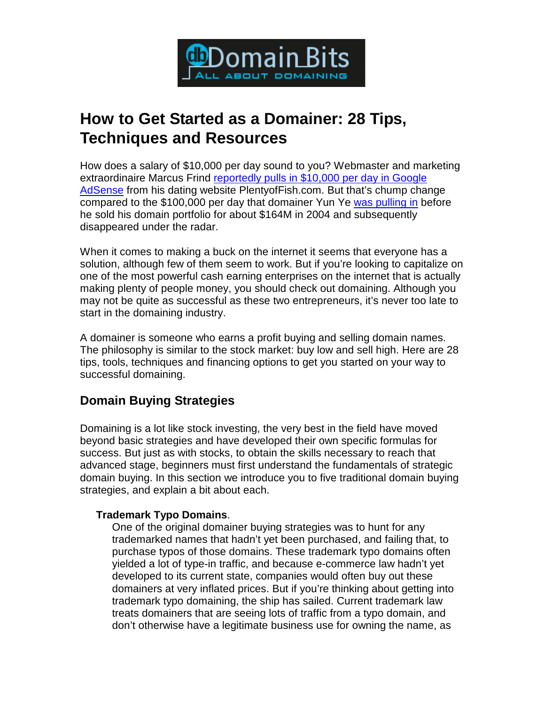

# **How to Get Started as a Domainer: 28 Tips, Techniques and Resources**

How does a salary of \$10,000 per day sound to you? Webmaster and marketing extraordinaire Marcus Frind reportedly pulls in \$10,000 per day in Google AdSense from his dating website PlentyofFish.com. But that's chump change compared to the \$100,000 per day that domainer Yun Ye was pulling in before he sold his domain portfolio for about \$164M in 2004 and subsequently disappeared under the radar.

When it comes to making a buck on the internet it seems that everyone has a solution, although few of them seem to work. But if you're looking to capitalize on one of the most powerful cash earning enterprises on the internet that is actually making plenty of people money, you should check out domaining. Although you may not be quite as successful as these two entrepreneurs, it's never too late to start in the domaining industry.

A domainer is someone who earns a profit buying and selling domain names. The philosophy is similar to the stock market: buy low and sell high. Here are 28 tips, tools, techniques and financing options to get you started on your way to successful domaining.

# **Domain Buying Strategies**

Domaining is a lot like stock investing, the very best in the field have moved beyond basic strategies and have developed their own specific formulas for success. But just as with stocks, to obtain the skills necessary to reach that advanced stage, beginners must first understand the fundamentals of strategic domain buying. In this section we introduce you to five traditional domain buying strategies, and explain a bit about each.

# **Trademark Typo Domains**.

One of the original domainer buying strategies was to hunt for any trademarked names that hadn't yet been purchased, and failing that, to purchase typos of those domains. These trademark typo domains often yielded a lot of type-in traffic, and because e-commerce law hadn't yet developed to its current state, companies would often buy out these domainers at very inflated prices. But if you're thinking about getting into trademark typo domaining, the ship has sailed. Current trademark law treats domainers that are seeing lots of traffic from a typo domain, and don't otherwise have a legitimate business use for owning the name, as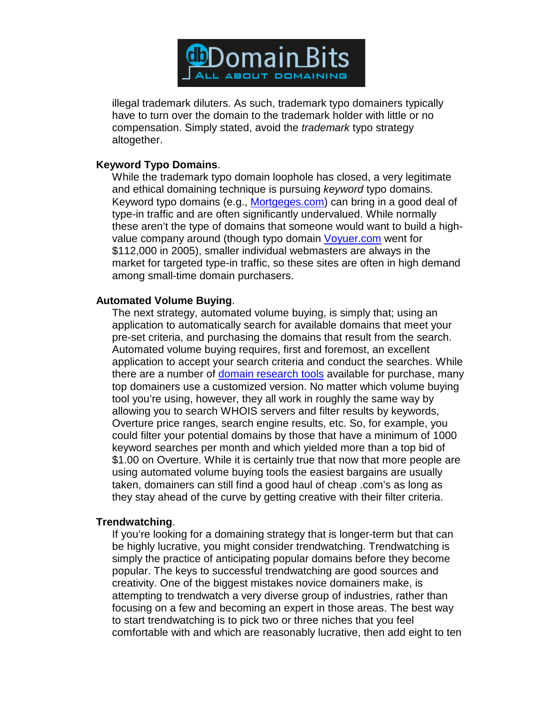

illegal trademark diluters. As such, trademark typo domainers typically have to turn over the domain to the trademark holder with little or no compensation. Simply stated, avoid the trademark typo strategy altogether.

#### **Keyword Typo Domains**.

While the trademark typo domain loophole has closed, a very legitimate and ethical domaining technique is pursuing keyword typo domains. Keyword typo domains (e.g., Mortgeges.com) can bring in a good deal of type-in traffic and are often significantly undervalued. While normally these aren't the type of domains that someone would want to build a highvalue company around (though typo domain Voyuer.com went for \$112,000 in 2005), smaller individual webmasters are always in the market for targeted type-in traffic, so these sites are often in high demand among small-time domain purchasers.

#### **Automated Volume Buying**.

The next strategy, automated volume buying, is simply that; using an application to automatically search for available domains that meet your pre-set criteria, and purchasing the domains that result from the search. Automated volume buying requires, first and foremost, an excellent application to accept your search criteria and conduct the searches. While there are a number of domain research tools available for purchase, many top domainers use a customized version. No matter which volume buying tool you're using, however, they all work in roughly the same way by allowing you to search WHOIS servers and filter results by keywords, Overture price ranges, search engine results, etc. So, for example, you could filter your potential domains by those that have a minimum of 1000 keyword searches per month and which yielded more than a top bid of \$1.00 on Overture. While it is certainly true that now that more people are using automated volume buying tools the easiest bargains are usually taken, domainers can still find a good haul of cheap .com's as long as they stay ahead of the curve by getting creative with their filter criteria.

#### **Trendwatching**.

If you're looking for a domaining strategy that is longer-term but that can be highly lucrative, you might consider trendwatching. Trendwatching is simply the practice of anticipating popular domains before they become popular. The keys to successful trendwatching are good sources and creativity. One of the biggest mistakes novice domainers make, is attempting to trendwatch a very diverse group of industries, rather than focusing on a few and becoming an expert in those areas. The best way to start trendwatching is to pick two or three niches that you feel comfortable with and which are reasonably lucrative, then add eight to ten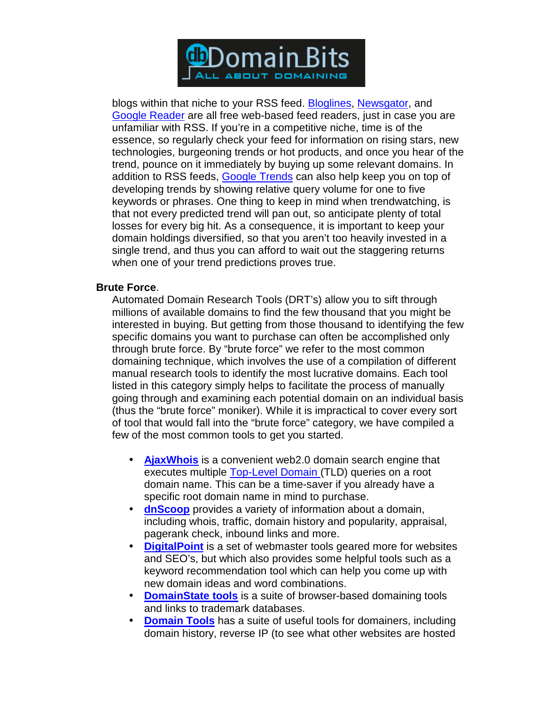

blogs within that niche to your RSS feed. Bloglines, Newsgator, and Google Reader are all free web-based feed readers, just in case you are unfamiliar with RSS. If you're in a competitive niche, time is of the essence, so regularly check your feed for information on rising stars, new technologies, burgeoning trends or hot products, and once you hear of the trend, pounce on it immediately by buying up some relevant domains. In addition to RSS feeds, Google Trends can also help keep you on top of developing trends by showing relative query volume for one to five keywords or phrases. One thing to keep in mind when trendwatching, is that not every predicted trend will pan out, so anticipate plenty of total losses for every big hit. As a consequence, it is important to keep your domain holdings diversified, so that you aren't too heavily invested in a single trend, and thus you can afford to wait out the staggering returns when one of your trend predictions proves true.

#### **Brute Force**.

Automated Domain Research Tools (DRT's) allow you to sift through millions of available domains to find the few thousand that you might be interested in buying. But getting from those thousand to identifying the few specific domains you want to purchase can often be accomplished only through brute force. By "brute force" we refer to the most common domaining technique, which involves the use of a compilation of different manual research tools to identify the most lucrative domains. Each tool listed in this category simply helps to facilitate the process of manually going through and examining each potential domain on an individual basis (thus the "brute force" moniker). While it is impractical to cover every sort of tool that would fall into the "brute force" category, we have compiled a few of the most common tools to get you started.

- **AjaxWhois** is a convenient web2.0 domain search engine that executes multiple Top-Level Domain (TLD) queries on a root domain name. This can be a time-saver if you already have a specific root domain name in mind to purchase.
- **dnScoop** provides a variety of information about a domain, including whois, traffic, domain history and popularity, appraisal, pagerank check, inbound links and more.
- **DigitalPoint** is a set of webmaster tools geared more for websites and SEO's, but which also provides some helpful tools such as a keyword recommendation tool which can help you come up with new domain ideas and word combinations.
- **DomainState tools** is a suite of browser-based domaining tools and links to trademark databases.
- **Domain Tools** has a suite of useful tools for domainers, including domain history, reverse IP (to see what other websites are hosted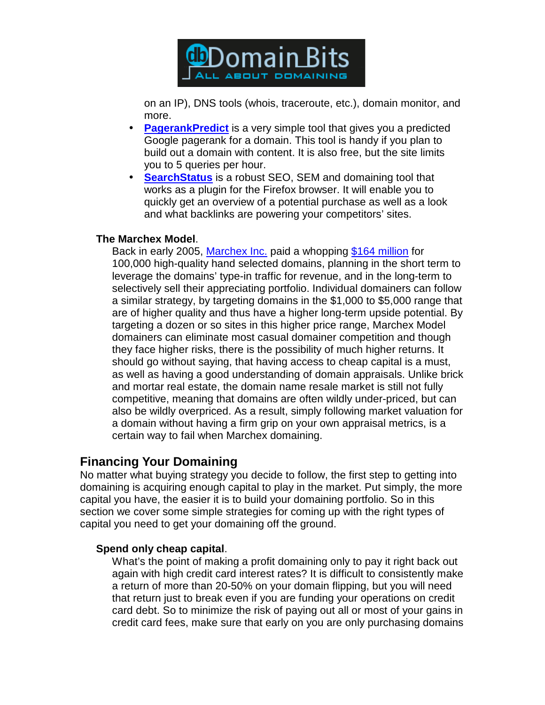

on an IP), DNS tools (whois, traceroute, etc.), domain monitor, and more.

- **PagerankPredict** is a very simple tool that gives you a predicted Google pagerank for a domain. This tool is handy if you plan to build out a domain with content. It is also free, but the site limits you to 5 queries per hour.
- **SearchStatus** is a robust SEO, SEM and domaining tool that works as a plugin for the Firefox browser. It will enable you to quickly get an overview of a potential purchase as well as a look and what backlinks are powering your competitors' sites.

# **The Marchex Model**.

Back in early 2005, Marchex Inc. paid a whopping \$164 million for 100,000 high-quality hand selected domains, planning in the short term to leverage the domains' type-in traffic for revenue, and in the long-term to selectively sell their appreciating portfolio. Individual domainers can follow a similar strategy, by targeting domains in the \$1,000 to \$5,000 range that are of higher quality and thus have a higher long-term upside potential. By targeting a dozen or so sites in this higher price range, Marchex Model domainers can eliminate most casual domainer competition and though they face higher risks, there is the possibility of much higher returns. It should go without saying, that having access to cheap capital is a must, as well as having a good understanding of domain appraisals. Unlike brick and mortar real estate, the domain name resale market is still not fully competitive, meaning that domains are often wildly under-priced, but can also be wildly overpriced. As a result, simply following market valuation for a domain without having a firm grip on your own appraisal metrics, is a certain way to fail when Marchex domaining.

# **Financing Your Domaining**

No matter what buying strategy you decide to follow, the first step to getting into domaining is acquiring enough capital to play in the market. Put simply, the more capital you have, the easier it is to build your domaining portfolio. So in this section we cover some simple strategies for coming up with the right types of capital you need to get your domaining off the ground.

# **Spend only cheap capital**.

What's the point of making a profit domaining only to pay it right back out again with high credit card interest rates? It is difficult to consistently make a return of more than 20-50% on your domain flipping, but you will need that return just to break even if you are funding your operations on credit card debt. So to minimize the risk of paying out all or most of your gains in credit card fees, make sure that early on you are only purchasing domains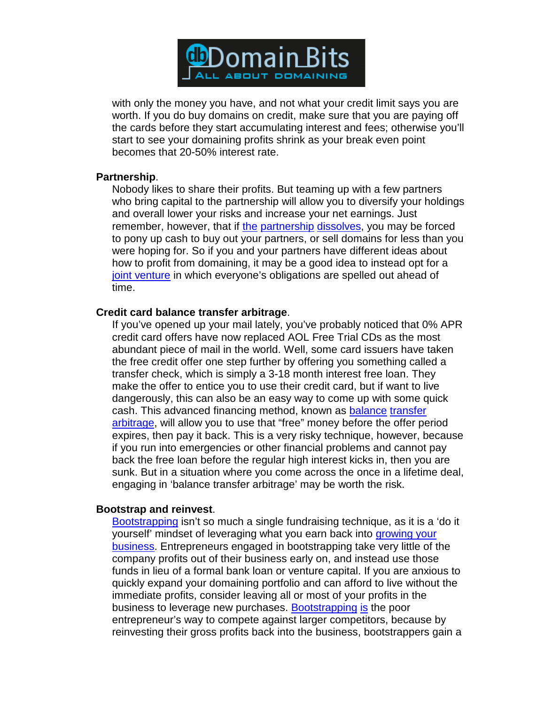

with only the money you have, and not what your credit limit says you are worth. If you do buy domains on credit, make sure that you are paying off the cards before they start accumulating interest and fees; otherwise you'll start to see your domaining profits shrink as your break even point becomes that 20-50% interest rate.

#### **Partnership**.

Nobody likes to share their profits. But teaming up with a few partners who bring capital to the partnership will allow you to diversify your holdings and overall lower your risks and increase your net earnings. Just remember, however, that if the partnership dissolves, you may be forced to pony up cash to buy out your partners, or sell domains for less than you were hoping for. So if you and your partners have different ideas about how to profit from domaining, it may be a good idea to instead opt for a joint venture in which everyone's obligations are spelled out ahead of time.

#### **Credit card balance transfer arbitrage**.

If you've opened up your mail lately, you've probably noticed that 0% APR credit card offers have now replaced AOL Free Trial CDs as the most abundant piece of mail in the world. Well, some card issuers have taken the free credit offer one step further by offering you something called a transfer check, which is simply a 3-18 month interest free loan. They make the offer to entice you to use their credit card, but if want to live dangerously, this can also be an easy way to come up with some quick cash. This advanced financing method, known as balance transfer arbitrage, will allow you to use that "free" money before the offer period expires, then pay it back. This is a very risky technique, however, because if you run into emergencies or other financial problems and cannot pay back the free loan before the regular high interest kicks in, then you are sunk. But in a situation where you come across the once in a lifetime deal, engaging in 'balance transfer arbitrage' may be worth the risk.

#### **Bootstrap and reinvest**.

Bootstrapping isn't so much a single fundraising technique, as it is a 'do it yourself' mindset of leveraging what you earn back into growing your business. Entrepreneurs engaged in bootstrapping take very little of the company profits out of their business early on, and instead use those funds in lieu of a formal bank loan or venture capital. If you are anxious to quickly expand your domaining portfolio and can afford to live without the immediate profits, consider leaving all or most of your profits in the business to leverage new purchases. Bootstrapping is the poor entrepreneur's way to compete against larger competitors, because by reinvesting their gross profits back into the business, bootstrappers gain a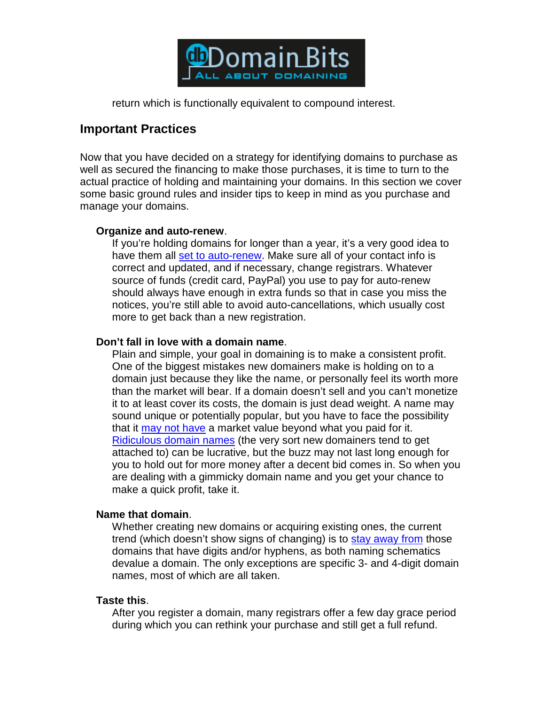

return which is functionally equivalent to compound interest.

# **Important Practices**

Now that you have decided on a strategy for identifying domains to purchase as well as secured the financing to make those purchases, it is time to turn to the actual practice of holding and maintaining your domains. In this section we cover some basic ground rules and insider tips to keep in mind as you purchase and manage your domains.

# **Organize and auto-renew**.

If you're holding domains for longer than a year, it's a very good idea to have them all set to auto-renew. Make sure all of your contact info is correct and updated, and if necessary, change registrars. Whatever source of funds (credit card, PayPal) you use to pay for auto-renew should always have enough in extra funds so that in case you miss the notices, you're still able to avoid auto-cancellations, which usually cost more to get back than a new registration.

# **Don't fall in love with a domain name**.

Plain and simple, your goal in domaining is to make a consistent profit. One of the biggest mistakes new domainers make is holding on to a domain just because they like the name, or personally feel its worth more than the market will bear. If a domain doesn't sell and you can't monetize it to at least cover its costs, the domain is just dead weight. A name may sound unique or potentially popular, but you have to face the possibility that it may not have a market value beyond what you paid for it. Ridiculous domain names (the very sort new domainers tend to get attached to) can be lucrative, but the buzz may not last long enough for you to hold out for more money after a decent bid comes in. So when you are dealing with a gimmicky domain name and you get your chance to make a quick profit, take it.

# **Name that domain**.

Whether creating new domains or acquiring existing ones, the current trend (which doesn't show signs of changing) is to stay away from those domains that have digits and/or hyphens, as both naming schematics devalue a domain. The only exceptions are specific 3- and 4-digit domain names, most of which are all taken.

# **Taste this**.

After you register a domain, many registrars offer a few day grace period during which you can rethink your purchase and still get a full refund.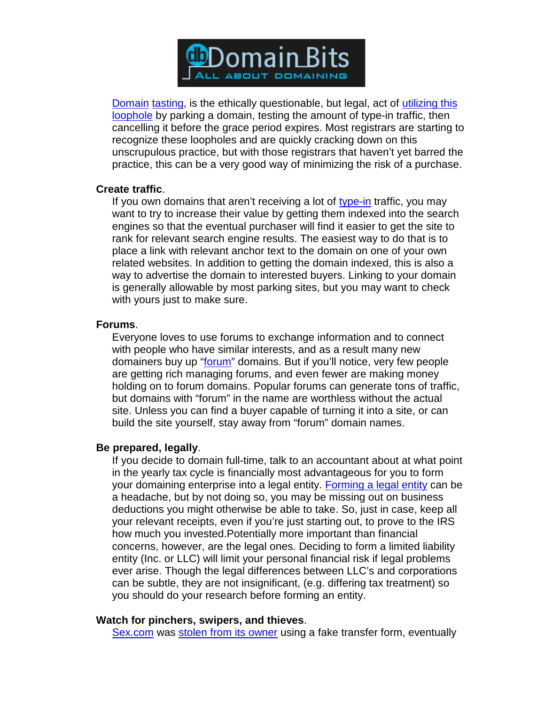

Domain tasting, is the ethically questionable, but legal, act of utilizing this loophole by parking a domain, testing the amount of type-in traffic, then cancelling it before the grace period expires. Most registrars are starting to recognize these loopholes and are quickly cracking down on this unscrupulous practice, but with those registrars that haven't yet barred the practice, this can be a very good way of minimizing the risk of a purchase.

#### **Create traffic**.

If you own domains that aren't receiving a lot of type-in traffic, you may want to try to increase their value by getting them indexed into the search engines so that the eventual purchaser will find it easier to get the site to rank for relevant search engine results. The easiest way to do that is to place a link with relevant anchor text to the domain on one of your own related websites. In addition to getting the domain indexed, this is also a way to advertise the domain to interested buyers. Linking to your domain is generally allowable by most parking sites, but you may want to check with yours just to make sure.

#### **Forums**.

Everyone loves to use forums to exchange information and to connect with people who have similar interests, and as a result many new domainers buy up "forum" domains. But if you'll notice, very few people are getting rich managing forums, and even fewer are making money holding on to forum domains. Popular forums can generate tons of traffic, but domains with "forum" in the name are worthless without the actual site. Unless you can find a buyer capable of turning it into a site, or can build the site yourself, stay away from "forum" domain names.

# **Be prepared, legally**.

If you decide to domain full-time, talk to an accountant about at what point in the yearly tax cycle is financially most advantageous for you to form your domaining enterprise into a legal entity. Forming a legal entity can be a headache, but by not doing so, you may be missing out on business deductions you might otherwise be able to take. So, just in case, keep all your relevant receipts, even if you're just starting out, to prove to the IRS how much you invested.Potentially more important than financial concerns, however, are the legal ones. Deciding to form a limited liability entity (Inc. or LLC) will limit your personal financial risk if legal problems ever arise. Though the legal differences between LLC's and corporations can be subtle, they are not insignificant, (e.g. differing tax treatment) so you should do your research before forming an entity.

#### **Watch for pinchers, swipers, and thieves**.

Sex.com was stolen from its owner using a fake transfer form, eventually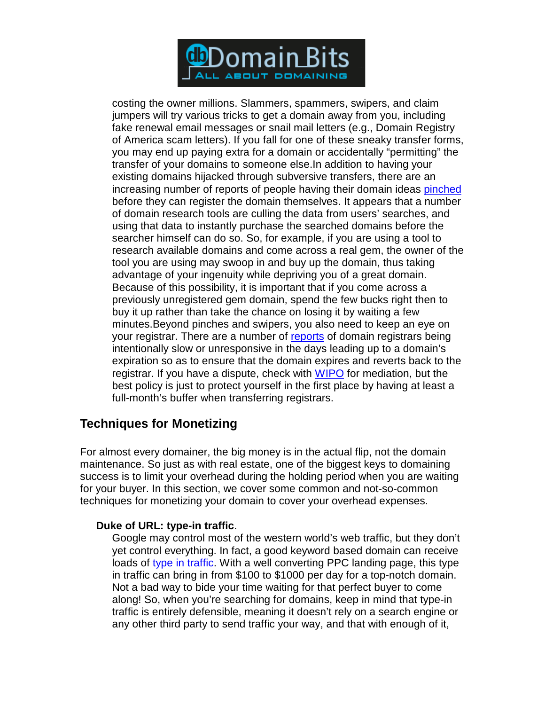

costing the owner millions. Slammers, spammers, swipers, and claim jumpers will try various tricks to get a domain away from you, including fake renewal email messages or snail mail letters (e.g., Domain Registry of America scam letters). If you fall for one of these sneaky transfer forms, you may end up paying extra for a domain or accidentally "permitting" the transfer of your domains to someone else.In addition to having your existing domains hijacked through subversive transfers, there are an increasing number of reports of people having their domain ideas pinched before they can register the domain themselves. It appears that a number of domain research tools are culling the data from users' searches, and using that data to instantly purchase the searched domains before the searcher himself can do so. So, for example, if you are using a tool to research available domains and come across a real gem, the owner of the tool you are using may swoop in and buy up the domain, thus taking advantage of your ingenuity while depriving you of a great domain. Because of this possibility, it is important that if you come across a previously unregistered gem domain, spend the few bucks right then to buy it up rather than take the chance on losing it by waiting a few minutes.Beyond pinches and swipers, you also need to keep an eye on your registrar. There are a number of reports of domain registrars being intentionally slow or unresponsive in the days leading up to a domain's expiration so as to ensure that the domain expires and reverts back to the registrar. If you have a dispute, check with WIPO for mediation, but the best policy is just to protect yourself in the first place by having at least a full-month's buffer when transferring registrars.

# **Techniques for Monetizing**

For almost every domainer, the big money is in the actual flip, not the domain maintenance. So just as with real estate, one of the biggest keys to domaining success is to limit your overhead during the holding period when you are waiting for your buyer. In this section, we cover some common and not-so-common techniques for monetizing your domain to cover your overhead expenses.

# **Duke of URL: type-in traffic**.

Google may control most of the western world's web traffic, but they don't yet control everything. In fact, a good keyword based domain can receive loads of type in traffic. With a well converting PPC landing page, this type in traffic can bring in from \$100 to \$1000 per day for a top-notch domain. Not a bad way to bide your time waiting for that perfect buyer to come along! So, when you're searching for domains, keep in mind that type-in traffic is entirely defensible, meaning it doesn't rely on a search engine or any other third party to send traffic your way, and that with enough of it,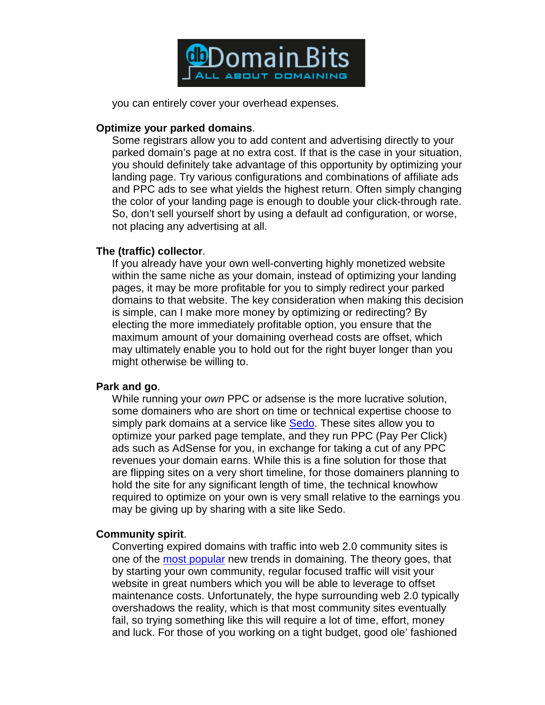

you can entirely cover your overhead expenses.

### **Optimize your parked domains**.

Some registrars allow you to add content and advertising directly to your parked domain's page at no extra cost. If that is the case in your situation, you should definitely take advantage of this opportunity by optimizing your landing page. Try various configurations and combinations of affiliate ads and PPC ads to see what yields the highest return. Often simply changing the color of your landing page is enough to double your click-through rate. So, don't sell yourself short by using a default ad configuration, or worse, not placing any advertising at all.

# **The (traffic) collector**.

If you already have your own well-converting highly monetized website within the same niche as your domain, instead of optimizing your landing pages, it may be more profitable for you to simply redirect your parked domains to that website. The key consideration when making this decision is simple, can I make more money by optimizing or redirecting? By electing the more immediately profitable option, you ensure that the maximum amount of your domaining overhead costs are offset, which may ultimately enable you to hold out for the right buyer longer than you might otherwise be willing to.

# **Park and go**.

While running your own PPC or adsense is the more lucrative solution, some domainers who are short on time or technical expertise choose to simply park domains at a service like Sedo. These sites allow you to optimize your parked page template, and they run PPC (Pay Per Click) ads such as AdSense for you, in exchange for taking a cut of any PPC revenues your domain earns. While this is a fine solution for those that are flipping sites on a very short timeline, for those domainers planning to hold the site for any significant length of time, the technical knowhow required to optimize on your own is very small relative to the earnings you may be giving up by sharing with a site like Sedo.

# **Community spirit**.

Converting expired domains with traffic into web 2.0 community sites is one of the most popular new trends in domaining. The theory goes, that by starting your own community, regular focused traffic will visit your website in great numbers which you will be able to leverage to offset maintenance costs. Unfortunately, the hype surrounding web 2.0 typically overshadows the reality, which is that most community sites eventually fail, so trying something like this will require a lot of time, effort, money and luck. For those of you working on a tight budget, good ole' fashioned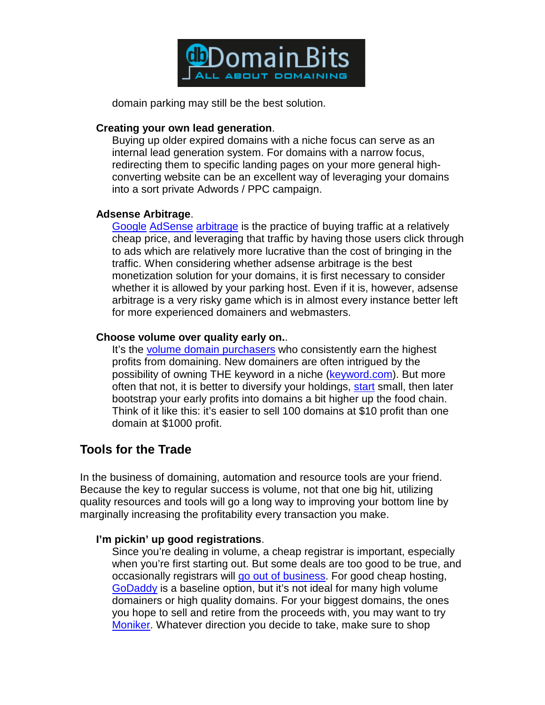

domain parking may still be the best solution.

### **Creating your own lead generation**.

Buying up older expired domains with a niche focus can serve as an internal lead generation system. For domains with a narrow focus, redirecting them to specific landing pages on your more general highconverting website can be an excellent way of leveraging your domains into a sort private Adwords / PPC campaign.

#### **Adsense Arbitrage**.

Google AdSense arbitrage is the practice of buying traffic at a relatively cheap price, and leveraging that traffic by having those users click through to ads which are relatively more lucrative than the cost of bringing in the traffic. When considering whether adsense arbitrage is the best monetization solution for your domains, it is first necessary to consider whether it is allowed by your parking host. Even if it is, however, adsense arbitrage is a very risky game which is in almost every instance better left for more experienced domainers and webmasters.

#### **Choose volume over quality early on.**.

It's the volume domain purchasers who consistently earn the highest profits from domaining. New domainers are often intrigued by the possibility of owning THE keyword in a niche (keyword.com). But more often that not, it is better to diversify your holdings, start small, then later bootstrap your early profits into domains a bit higher up the food chain. Think of it like this: it's easier to sell 100 domains at \$10 profit than one domain at \$1000 profit.

# **Tools for the Trade**

In the business of domaining, automation and resource tools are your friend. Because the key to regular success is volume, not that one big hit, utilizing quality resources and tools will go a long way to improving your bottom line by marginally increasing the profitability every transaction you make.

# **I'm pickin' up good registrations**.

Since you're dealing in volume, a cheap registrar is important, especially when you're first starting out. But some deals are too good to be true, and occasionally registrars will go out of business. For good cheap hosting, GoDaddy is a baseline option, but it's not ideal for many high volume domainers or high quality domains. For your biggest domains, the ones you hope to sell and retire from the proceeds with, you may want to try Moniker. Whatever direction you decide to take, make sure to shop